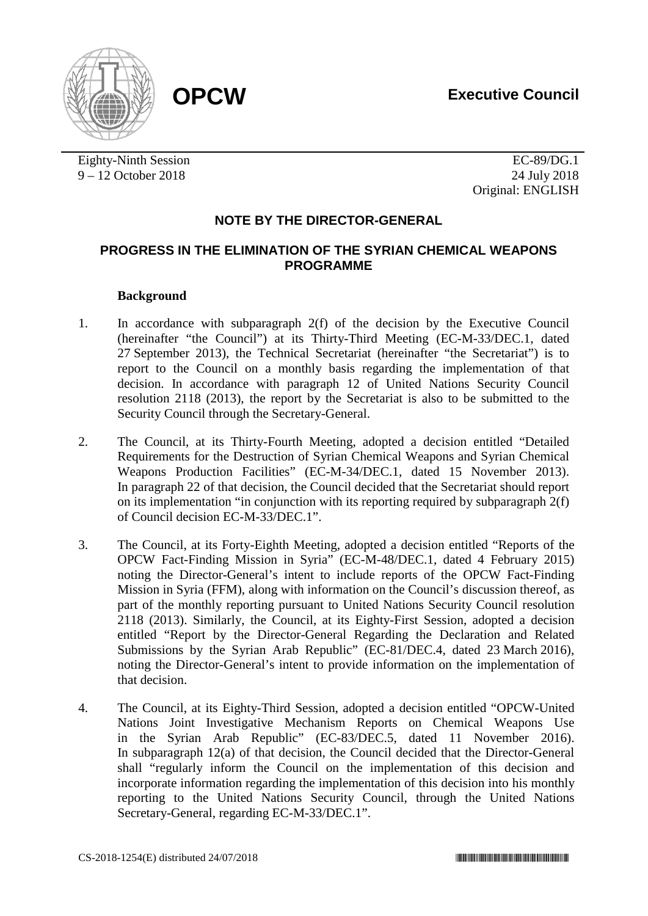

Eighty-Ninth Session EC-89/DG.1 9 – 12 October 2018 24 July 2018

Original: ENGLISH

# **NOTE BY THE DIRECTOR-GENERAL**

## **PROGRESS IN THE ELIMINATION OF THE SYRIAN CHEMICAL WEAPONS PROGRAMME**

## **Background**

- 1. In accordance with subparagraph 2(f) of the decision by the Executive Council (hereinafter "the Council") at its Thirty-Third Meeting (EC-M-33/DEC.1, dated 27 September 2013), the Technical Secretariat (hereinafter "the Secretariat") is to report to the Council on a monthly basis regarding the implementation of that decision. In accordance with paragraph 12 of United Nations Security Council resolution 2118 (2013), the report by the Secretariat is also to be submitted to the Security Council through the Secretary-General.
- 2. The Council, at its Thirty-Fourth Meeting, adopted a decision entitled "Detailed Requirements for the Destruction of Syrian Chemical Weapons and Syrian Chemical Weapons Production Facilities" (EC-M-34/DEC.1, dated 15 November 2013). In paragraph 22 of that decision, the Council decided that the Secretariat should report on its implementation "in conjunction with its reporting required by subparagraph 2(f) of Council decision EC-M-33/DEC.1".
- 3. The Council, at its Forty-Eighth Meeting, adopted a decision entitled "Reports of the OPCW Fact-Finding Mission in Syria" (EC-M-48/DEC.1, dated 4 February 2015) noting the Director-General's intent to include reports of the OPCW Fact-Finding Mission in Syria (FFM), along with information on the Council's discussion thereof, as part of the monthly reporting pursuant to United Nations Security Council resolution 2118 (2013). Similarly, the Council, at its Eighty-First Session, adopted a decision entitled "Report by the Director-General Regarding the Declaration and Related Submissions by the Syrian Arab Republic" (EC-81/DEC.4, dated 23 March 2016), noting the Director-General's intent to provide information on the implementation of that decision.
- 4. The Council, at its Eighty-Third Session, adopted a decision entitled "OPCW-United Nations Joint Investigative Mechanism Reports on Chemical Weapons Use in the Syrian Arab Republic" (EC-83/DEC.5, dated 11 November 2016). In subparagraph 12(a) of that decision, the Council decided that the Director-General shall "regularly inform the Council on the implementation of this decision and incorporate information regarding the implementation of this decision into his monthly reporting to the United Nations Security Council, through the United Nations Secretary-General, regarding EC-M-33/DEC.1".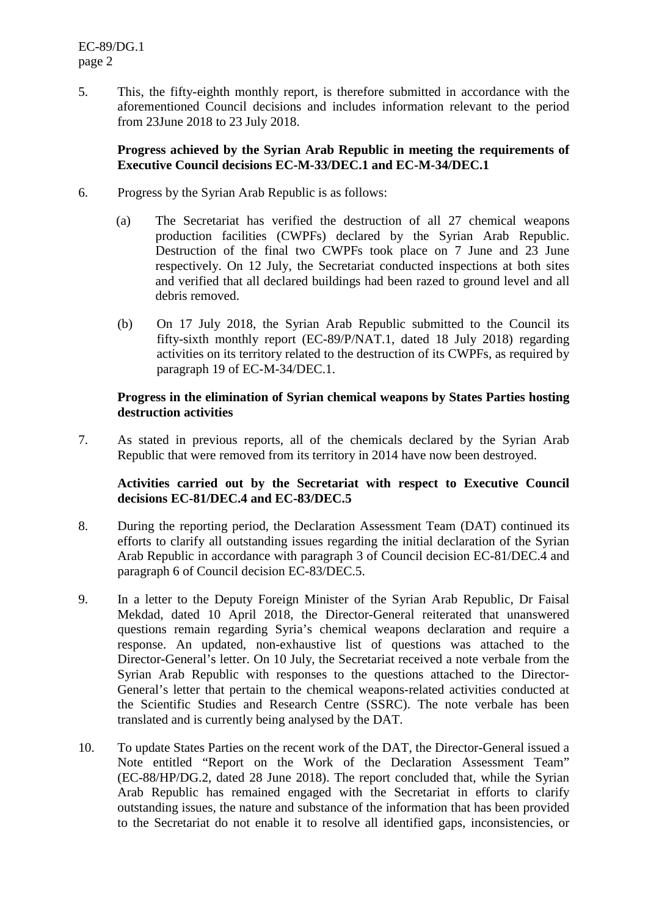5. This, the fifty-eighth monthly report, is therefore submitted in accordance with the aforementioned Council decisions and includes information relevant to the period from 23June 2018 to 23 July 2018.

#### **Progress achieved by the Syrian Arab Republic in meeting the requirements of Executive Council decisions EC-M-33/DEC.1 and EC-M-34/DEC.1**

- 6. Progress by the Syrian Arab Republic is as follows:
	- (a) The Secretariat has verified the destruction of all 27 chemical weapons production facilities (CWPFs) declared by the Syrian Arab Republic. Destruction of the final two CWPFs took place on 7 June and 23 June respectively. On 12 July, the Secretariat conducted inspections at both sites and verified that all declared buildings had been razed to ground level and all debris removed.
	- (b) On 17 July 2018, the Syrian Arab Republic submitted to the Council its fifty-sixth monthly report (EC-89/P/NAT.1, dated 18 July 2018) regarding activities on its territory related to the destruction of its CWPFs, as required by paragraph 19 of EC-M-34/DEC.1.

#### **Progress in the elimination of Syrian chemical weapons by States Parties hosting destruction activities**

7. As stated in previous reports, all of the chemicals declared by the Syrian Arab Republic that were removed from its territory in 2014 have now been destroyed.

## **Activities carried out by the Secretariat with respect to Executive Council decisions EC-81/DEC.4 and EC-83/DEC.5**

- 8. During the reporting period, the Declaration Assessment Team (DAT) continued its efforts to clarify all outstanding issues regarding the initial declaration of the Syrian Arab Republic in accordance with paragraph 3 of Council decision EC-81/DEC.4 and paragraph 6 of Council decision EC-83/DEC.5.
- 9. In a letter to the Deputy Foreign Minister of the Syrian Arab Republic, Dr Faisal Mekdad, dated 10 April 2018, the Director-General reiterated that unanswered questions remain regarding Syria's chemical weapons declaration and require a response. An updated, non-exhaustive list of questions was attached to the Director-General's letter. On 10 July, the Secretariat received a note verbale from the Syrian Arab Republic with responses to the questions attached to the Director-General's letter that pertain to the chemical weapons-related activities conducted at the Scientific Studies and Research Centre (SSRC). The note verbale has been translated and is currently being analysed by the DAT.
- 10. To update States Parties on the recent work of the DAT, the Director-General issued a Note entitled "Report on the Work of the Declaration Assessment Team" (EC-88/HP/DG.2, dated 28 June 2018). The report concluded that, while the Syrian Arab Republic has remained engaged with the Secretariat in efforts to clarify outstanding issues, the nature and substance of the information that has been provided to the Secretariat do not enable it to resolve all identified gaps, inconsistencies, or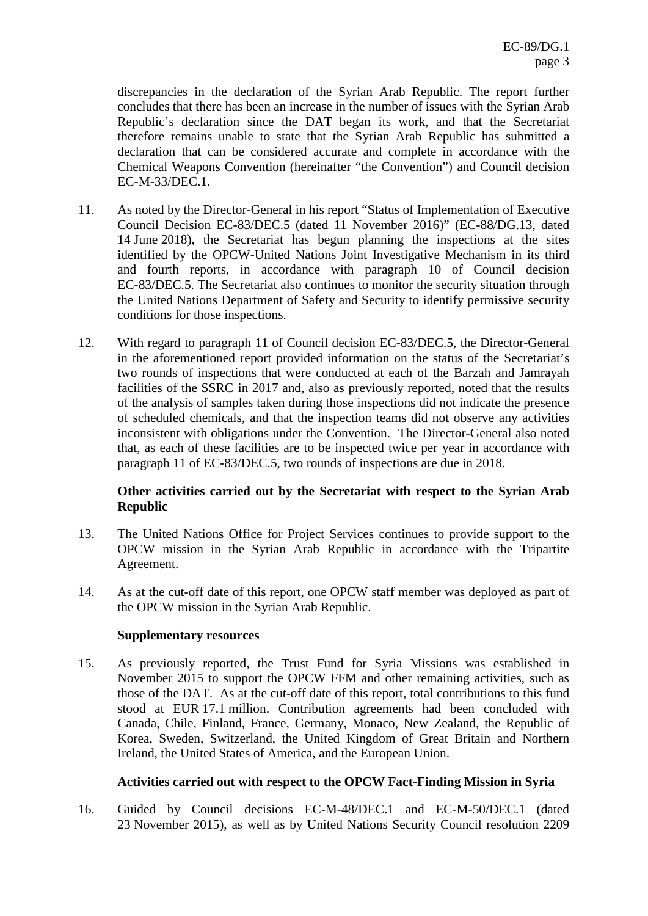discrepancies in the declaration of the Syrian Arab Republic. The report further concludes that there has been an increase in the number of issues with the Syrian Arab Republic's declaration since the DAT began its work, and that the Secretariat therefore remains unable to state that the Syrian Arab Republic has submitted a declaration that can be considered accurate and complete in accordance with the Chemical Weapons Convention (hereinafter "the Convention") and Council decision EC-M-33/DEC.1.

- 11. As noted by the Director-General in his report "Status of Implementation of Executive Council Decision EC-83/DEC.5 (dated 11 November 2016)" (EC-88/DG.13, dated 14 June 2018), the Secretariat has begun planning the inspections at the sites identified by the OPCW-United Nations Joint Investigative Mechanism in its third and fourth reports, in accordance with paragraph 10 of Council decision EC-83/DEC.5. The Secretariat also continues to monitor the security situation through the United Nations Department of Safety and Security to identify permissive security conditions for those inspections.
- 12. With regard to paragraph 11 of Council decision EC-83/DEC.5, the Director-General in the aforementioned report provided information on the status of the Secretariat's two rounds of inspections that were conducted at each of the Barzah and Jamrayah facilities of the SSRC in 2017 and, also as previously reported, noted that the results of the analysis of samples taken during those inspections did not indicate the presence of scheduled chemicals, and that the inspection teams did not observe any activities inconsistent with obligations under the Convention. The Director-General also noted that, as each of these facilities are to be inspected twice per year in accordance with paragraph 11 of EC-83/DEC.5, two rounds of inspections are due in 2018.

## **Other activities carried out by the Secretariat with respect to the Syrian Arab Republic**

- 13. The United Nations Office for Project Services continues to provide support to the OPCW mission in the Syrian Arab Republic in accordance with the Tripartite Agreement.
- 14. As at the cut-off date of this report, one OPCW staff member was deployed as part of the OPCW mission in the Syrian Arab Republic.

#### **Supplementary resources**

15. As previously reported, the Trust Fund for Syria Missions was established in November 2015 to support the OPCW FFM and other remaining activities, such as those of the DAT. As at the cut-off date of this report, total contributions to this fund stood at EUR 17.1 million. Contribution agreements had been concluded with Canada, Chile, Finland, France, Germany, Monaco, New Zealand, the Republic of Korea, Sweden, Switzerland, the United Kingdom of Great Britain and Northern Ireland, the United States of America, and the European Union.

## **Activities carried out with respect to the OPCW Fact-Finding Mission in Syria**

16. Guided by Council decisions EC-M-48/DEC.1 and EC-M-50/DEC.1 (dated 23 November 2015), as well as by United Nations Security Council resolution 2209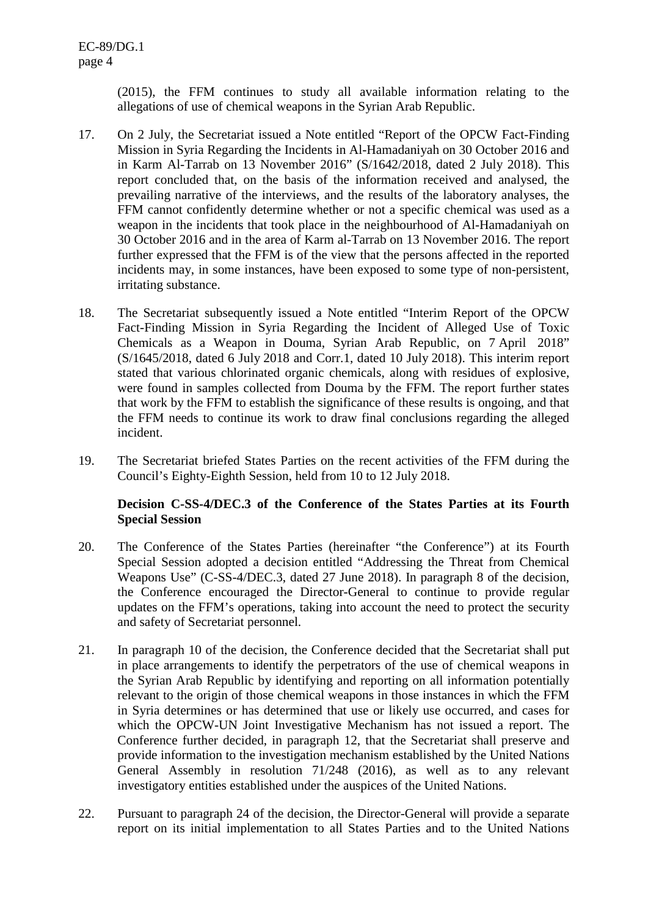(2015), the FFM continues to study all available information relating to the allegations of use of chemical weapons in the Syrian Arab Republic.

- 17. On 2 July, the Secretariat issued a Note entitled "Report of the OPCW Fact-Finding Mission in Syria Regarding the Incidents in Al-Hamadaniyah on 30 October 2016 and in Karm Al-Tarrab on 13 November 2016" (S/1642/2018, dated 2 July 2018). This report concluded that, on the basis of the information received and analysed, the prevailing narrative of the interviews, and the results of the laboratory analyses, the FFM cannot confidently determine whether or not a specific chemical was used as a weapon in the incidents that took place in the neighbourhood of Al-Hamadaniyah on 30 October 2016 and in the area of Karm al-Tarrab on 13 November 2016. The report further expressed that the FFM is of the view that the persons affected in the reported incidents may, in some instances, have been exposed to some type of non-persistent, irritating substance.
- 18. The Secretariat subsequently issued a Note entitled "Interim Report of the OPCW Fact-Finding Mission in Syria Regarding the Incident of Alleged Use of Toxic Chemicals as a Weapon in Douma, Syrian Arab Republic, on 7 April 2018" (S/1645/2018, dated 6 July 2018 and Corr.1, dated 10 July 2018). This interim report stated that various chlorinated organic chemicals, along with residues of explosive, were found in samples collected from Douma by the FFM. The report further states that work by the FFM to establish the significance of these results is ongoing, and that the FFM needs to continue its work to draw final conclusions regarding the alleged incident.
- 19. The Secretariat briefed States Parties on the recent activities of the FFM during the Council's Eighty-Eighth Session, held from 10 to 12 July 2018.

#### **Decision C-SS-4/DEC.3 of the Conference of the States Parties at its Fourth Special Session**

- 20. The Conference of the States Parties (hereinafter "the Conference") at its Fourth Special Session adopted a decision entitled "Addressing the Threat from Chemical Weapons Use" (C-SS-4/DEC.3, dated 27 June 2018). In paragraph 8 of the decision, the Conference encouraged the Director-General to continue to provide regular updates on the FFM's operations, taking into account the need to protect the security and safety of Secretariat personnel.
- 21. In paragraph 10 of the decision, the Conference decided that the Secretariat shall put in place arrangements to identify the perpetrators of the use of chemical weapons in the Syrian Arab Republic by identifying and reporting on all information potentially relevant to the origin of those chemical weapons in those instances in which the FFM in Syria determines or has determined that use or likely use occurred, and cases for which the OPCW-UN Joint Investigative Mechanism has not issued a report. The Conference further decided, in paragraph 12, that the Secretariat shall preserve and provide information to the investigation mechanism established by the United Nations General Assembly in resolution 71/248 (2016), as well as to any relevant investigatory entities established under the auspices of the United Nations.
- 22. Pursuant to paragraph 24 of the decision, the Director-General will provide a separate report on its initial implementation to all States Parties and to the United Nations